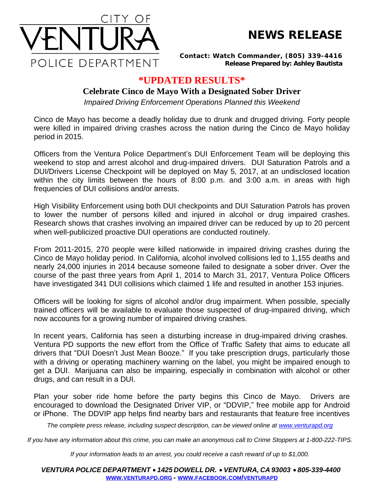

## **NEWS RELEASE**

*Contact: Watch Commander, (805) 339-4416 Release Prepared by: Ashley Bautista*

## **\*UPDATED RESULTS\***

## **Celebrate Cinco de Mayo With a Designated Sober Driver**

*Impaired Driving Enforcement Operations Planned this Weekend*

Cinco de Mayo has become a deadly holiday due to drunk and drugged driving. Forty people were killed in impaired driving crashes across the nation during the Cinco de Mayo holiday period in 2015.

Officers from the Ventura Police Department's DUI Enforcement Team will be deploying this weekend to stop and arrest alcohol and drug-impaired drivers. DUI Saturation Patrols and a DUI/Drivers License Checkpoint will be deployed on May 5, 2017, at an undisclosed location within the city limits between the hours of 8:00 p.m. and 3:00 a.m. in areas with high frequencies of DUI collisions and/or arrests.

High Visibility Enforcement using both DUI checkpoints and DUI Saturation Patrols has proven to lower the number of persons killed and injured in alcohol or drug impaired crashes. Research shows that crashes involving an impaired driver can be reduced by up to 20 percent when well-publicized proactive DUI operations are conducted routinely.

From 2011-2015, 270 people were killed nationwide in impaired driving crashes during the Cinco de Mayo holiday period. In California, alcohol involved collisions led to 1,155 deaths and nearly 24,000 injuries in 2014 because someone failed to designate a sober driver. Over the course of the past three years from April 1, 2014 to March 31, 2017, Ventura Police Officers have investigated 341 DUI collisions which claimed 1 life and resulted in another 153 injuries.

Officers will be looking for signs of alcohol and/or drug impairment. When possible, specially trained officers will be available to evaluate those suspected of drug-impaired driving, which now accounts for a growing number of impaired driving crashes.

In recent years, California has seen a disturbing increase in drug-impaired driving crashes. Ventura PD supports the new effort from the Office of Traffic Safety that aims to educate all drivers that "DUI Doesn't Just Mean Booze." If you take prescription drugs, particularly those with a driving or operating machinery warning on the label, you might be impaired enough to get a DUI. Marijuana can also be impairing, especially in combination with alcohol or other drugs, and can result in a DUI.

Plan your sober ride home before the party begins this Cinco de Mayo. Drivers are encouraged to download the Designated Driver VIP, or "DDVIP," free mobile app for Android or iPhone. The DDVIP app helps find nearby bars and restaurants that feature free incentives

The complete press release, including suspect description, can be viewed online at [www.venturapd.org](http://www.venturapd.org)

*If you have any information about this crime, you can make an anonymous call to Crime Stoppers at 1-800-222-TIPS.*

*If your information leads to an arrest, you could receive a cash reward of up to \$1,000.*

*VENTURA POLICE DEPARTMENT* · *1425 DOWELL DR.* · *VENTURA, CA 93003* · *805-339-4400* **WWW.[VENTURAPD](http://www.venturapd.org).ORG** *-* **WWW.FACEBOOK.COM/[VENTURAPD](http://www.facebook.com/venturapd)**